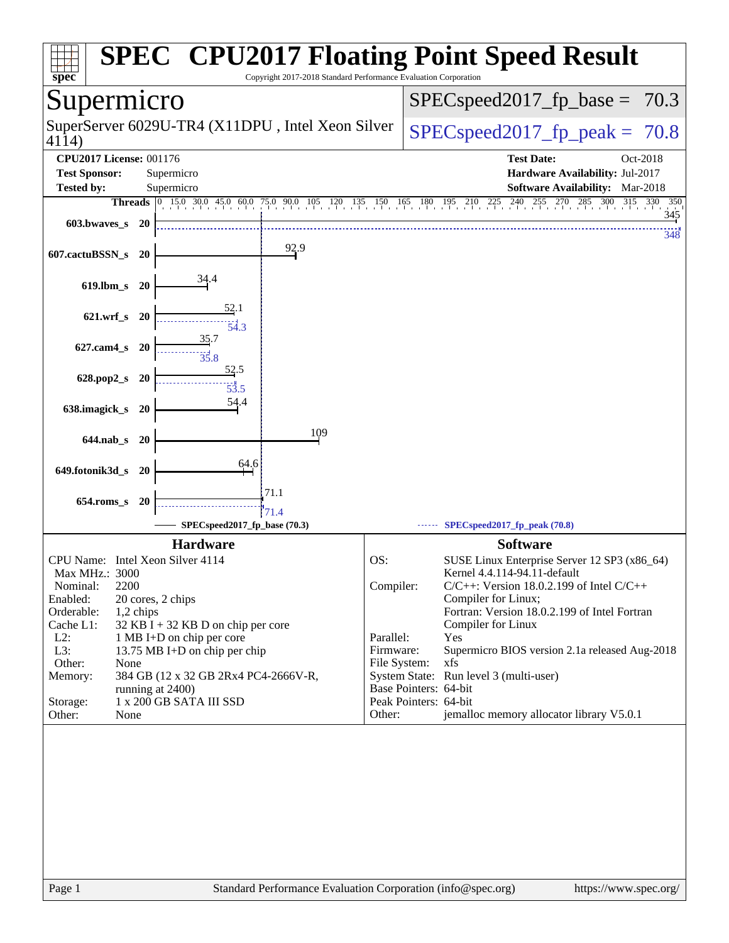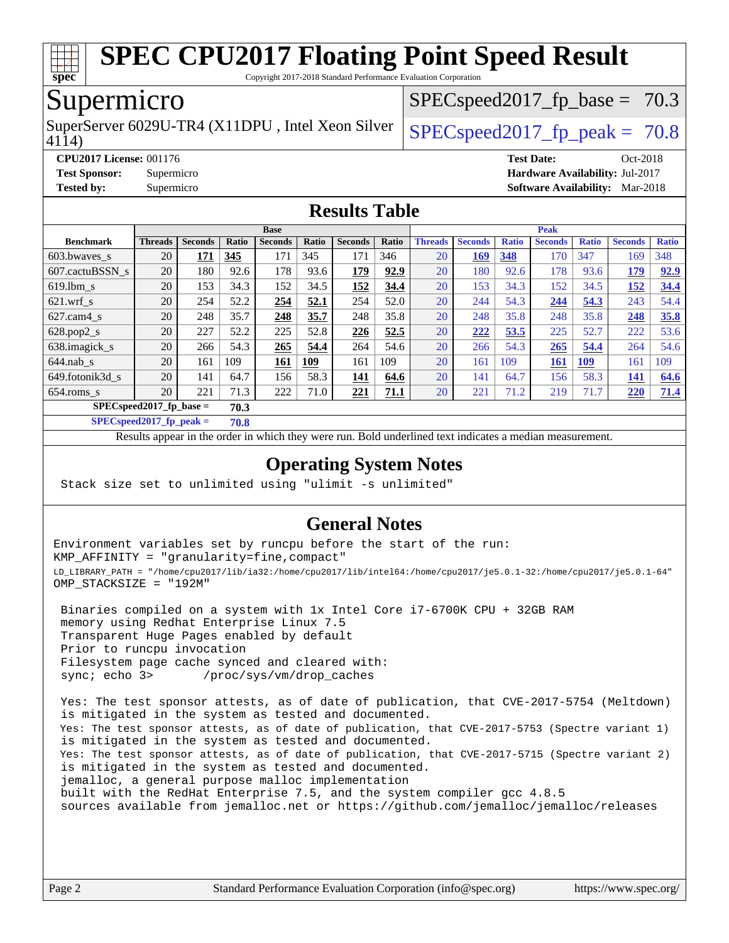

Copyright 2017-2018 Standard Performance Evaluation Corporation

## Supermicro

SuperServer 6029U-TR4 (X11DPU, Intel Xeon Silver  $\big|$  SPECspeed2017 fp\_peak = 70.8

 $SPECspeed2017_fp\_base = 70.3$ 

4114)

**[CPU2017 License:](http://www.spec.org/auto/cpu2017/Docs/result-fields.html#CPU2017License)** 001176 **[Test Date:](http://www.spec.org/auto/cpu2017/Docs/result-fields.html#TestDate)** Oct-2018

**[Test Sponsor:](http://www.spec.org/auto/cpu2017/Docs/result-fields.html#TestSponsor)** Supermicro **[Hardware Availability:](http://www.spec.org/auto/cpu2017/Docs/result-fields.html#HardwareAvailability)** Jul-2017

#### **[Tested by:](http://www.spec.org/auto/cpu2017/Docs/result-fields.html#Testedby)** Supermicro **[Software Availability:](http://www.spec.org/auto/cpu2017/Docs/result-fields.html#SoftwareAvailability)** Mar-2018 **[Results Table](http://www.spec.org/auto/cpu2017/Docs/result-fields.html#ResultsTable)**

| INUDUIW<br>TUNIC                   |                |                |       |                |       |                |             |                |                |              |                |              |                |              |
|------------------------------------|----------------|----------------|-------|----------------|-------|----------------|-------------|----------------|----------------|--------------|----------------|--------------|----------------|--------------|
|                                    | <b>Base</b>    |                |       |                |       | <b>Peak</b>    |             |                |                |              |                |              |                |              |
| <b>Benchmark</b>                   | <b>Threads</b> | <b>Seconds</b> | Ratio | <b>Seconds</b> | Ratio | <b>Seconds</b> | Ratio       | <b>Threads</b> | <b>Seconds</b> | <b>Ratio</b> | <b>Seconds</b> | <b>Ratio</b> | <b>Seconds</b> | <b>Ratio</b> |
| 603.bwayes_s                       | 20             | 171            | 345   | 171            | 345   | 171            | 346         | 20             | 169            | 348          | 170            | 347          | 169            | 348          |
| 607.cactuBSSN s                    | 20             | 180            | 92.6  | 178            | 93.6  | 179            | 92.9        | 20             | 180            | 92.6         | 178            | 93.6         | 179            | 92.9         |
| $619.1$ bm s                       | 20             | 153            | 34.3  | 152            | 34.5  | 152            | <u>34.4</u> | 20             | 153            | 34.3         | 152            | 34.5         | <u> 152</u>    | 34.4         |
| $621$ .wrf s                       | 20             | 254            | 52.2  | 254            | 52.1  | 254            | 52.0        | 20             | 244            | 54.3         | 244            | 54.3         | 243            | 54.4         |
| $627$ .cam4 s                      | 20             | 248            | 35.7  | 248            | 35.7  | 248            | 35.8        | 20             | 248            | 35.8         | 248            | 35.8         | 248            | 35.8         |
| $628.pop2_s$                       | 20             | 227            | 52.2  | 225            | 52.8  | 226            | 52.5        | 20             | 222            | 53.5         | 225            | 52.7         | 222            | 53.6         |
| 638.imagick_s                      | 20             | 266            | 54.3  | 265            | 54.4  | 264            | 54.6        | 20             | 266            | 54.3         | 265            | 54.4         | 264            | 54.6         |
| $644$ .nab s                       | 20             | 161            | 109   | <b>161</b>     | 109   | 161            | 109         | 20             | 161            | 109          | <b>161</b>     | <u> 109</u>  | 161            | 109          |
| 649.fotonik3d s                    | 20             | 141            | 64.7  | 156            | 58.3  | 141            | 64.6        | 20             | 141            | 64.7         | 156            | 58.3         | 141            | 64.6         |
| $654$ .roms s                      | 20             | 221            | 71.3  | 222            | 71.0  | 221            | <u>71.1</u> | 20             | 221            | 71.2         | 219            | 71.7         | 220            | 71.4         |
| $SPECspeed2017_fp\_base =$<br>70.3 |                |                |       |                |       |                |             |                |                |              |                |              |                |              |

**[SPECspeed2017\\_fp\\_peak =](http://www.spec.org/auto/cpu2017/Docs/result-fields.html#SPECspeed2017fppeak) 70.8**

Results appear in the [order in which they were run.](http://www.spec.org/auto/cpu2017/Docs/result-fields.html#RunOrder) Bold underlined text [indicates a median measurement](http://www.spec.org/auto/cpu2017/Docs/result-fields.html#Median).

### **[Operating System Notes](http://www.spec.org/auto/cpu2017/Docs/result-fields.html#OperatingSystemNotes)**

Stack size set to unlimited using "ulimit -s unlimited"

### **[General Notes](http://www.spec.org/auto/cpu2017/Docs/result-fields.html#GeneralNotes)**

Environment variables set by runcpu before the start of the run: KMP\_AFFINITY = "granularity=fine,compact" LD\_LIBRARY\_PATH = "/home/cpu2017/lib/ia32:/home/cpu2017/lib/intel64:/home/cpu2017/je5.0.1-32:/home/cpu2017/je5.0.1-64" OMP\_STACKSIZE = "192M"

 Binaries compiled on a system with 1x Intel Core i7-6700K CPU + 32GB RAM memory using Redhat Enterprise Linux 7.5 Transparent Huge Pages enabled by default Prior to runcpu invocation Filesystem page cache synced and cleared with: sync; echo 3> /proc/sys/vm/drop\_caches

 Yes: The test sponsor attests, as of date of publication, that CVE-2017-5754 (Meltdown) is mitigated in the system as tested and documented. Yes: The test sponsor attests, as of date of publication, that CVE-2017-5753 (Spectre variant 1) is mitigated in the system as tested and documented. Yes: The test sponsor attests, as of date of publication, that CVE-2017-5715 (Spectre variant 2) is mitigated in the system as tested and documented. jemalloc, a general purpose malloc implementation built with the RedHat Enterprise 7.5, and the system compiler gcc 4.8.5 sources available from jemalloc.net or <https://github.com/jemalloc/jemalloc/releases>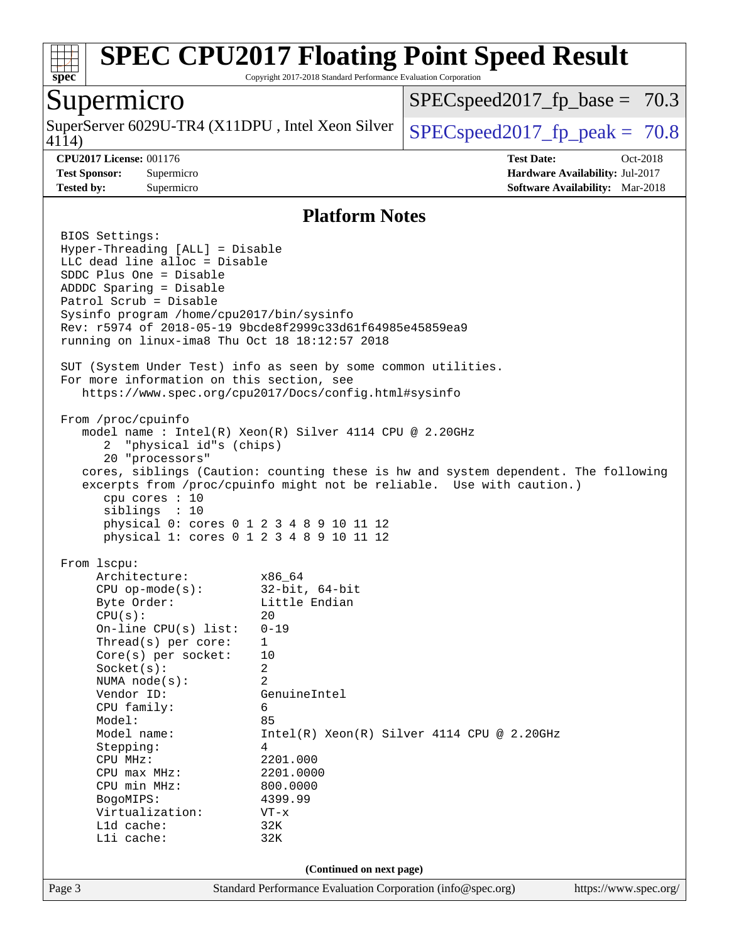

Copyright 2017-2018 Standard Performance Evaluation Corporation

### Supermicro

4114) SuperServer 6029U-TR4 (X11DPU, Intel Xeon Silver  $\big|$  [SPECspeed2017\\_fp\\_peak =](http://www.spec.org/auto/cpu2017/Docs/result-fields.html#SPECspeed2017fppeak) 70.8

 $SPECspeed2017_fp\_base = 70.3$ 

**[CPU2017 License:](http://www.spec.org/auto/cpu2017/Docs/result-fields.html#CPU2017License)** 001176 **[Test Date:](http://www.spec.org/auto/cpu2017/Docs/result-fields.html#TestDate)** Oct-2018 **[Test Sponsor:](http://www.spec.org/auto/cpu2017/Docs/result-fields.html#TestSponsor)** Supermicro **[Hardware Availability:](http://www.spec.org/auto/cpu2017/Docs/result-fields.html#HardwareAvailability)** Jul-2017 **[Tested by:](http://www.spec.org/auto/cpu2017/Docs/result-fields.html#Testedby)** Supermicro **[Software Availability:](http://www.spec.org/auto/cpu2017/Docs/result-fields.html#SoftwareAvailability)** Mar-2018

#### **[Platform Notes](http://www.spec.org/auto/cpu2017/Docs/result-fields.html#PlatformNotes)**

Page 3 Standard Performance Evaluation Corporation [\(info@spec.org\)](mailto:info@spec.org) <https://www.spec.org/> BIOS Settings: Hyper-Threading [ALL] = Disable LLC dead line alloc = Disable SDDC Plus One = Disable ADDDC Sparing = Disable Patrol Scrub = Disable Sysinfo program /home/cpu2017/bin/sysinfo Rev: r5974 of 2018-05-19 9bcde8f2999c33d61f64985e45859ea9 running on linux-ima8 Thu Oct 18 18:12:57 2018 SUT (System Under Test) info as seen by some common utilities. For more information on this section, see <https://www.spec.org/cpu2017/Docs/config.html#sysinfo> From /proc/cpuinfo model name : Intel(R) Xeon(R) Silver 4114 CPU @ 2.20GHz 2 "physical id"s (chips) 20 "processors" cores, siblings (Caution: counting these is hw and system dependent. The following excerpts from /proc/cpuinfo might not be reliable. Use with caution.) cpu cores : 10 siblings : 10 physical 0: cores 0 1 2 3 4 8 9 10 11 12 physical 1: cores 0 1 2 3 4 8 9 10 11 12 From lscpu: Architecture: x86\_64 CPU op-mode(s): 32-bit, 64-bit Byte Order: Little Endian  $CPU(s):$  20 On-line CPU(s) list: 0-19 Thread(s) per core: 1 Core(s) per socket: 10 Socket(s): 2 NUMA node(s): 2 Vendor ID: GenuineIntel CPU family: 6 Model: 85 Model name:  $Intel(R)$  Xeon(R) Silver 4114 CPU @ 2.20GHz Stepping: 4 CPU MHz: 2201.000 CPU max MHz: 2201.0000 CPU min MHz: 800.0000 BogoMIPS: 4399.99 Virtualization: VT-x L1d cache: 32K L1i cache: 32K **(Continued on next page)**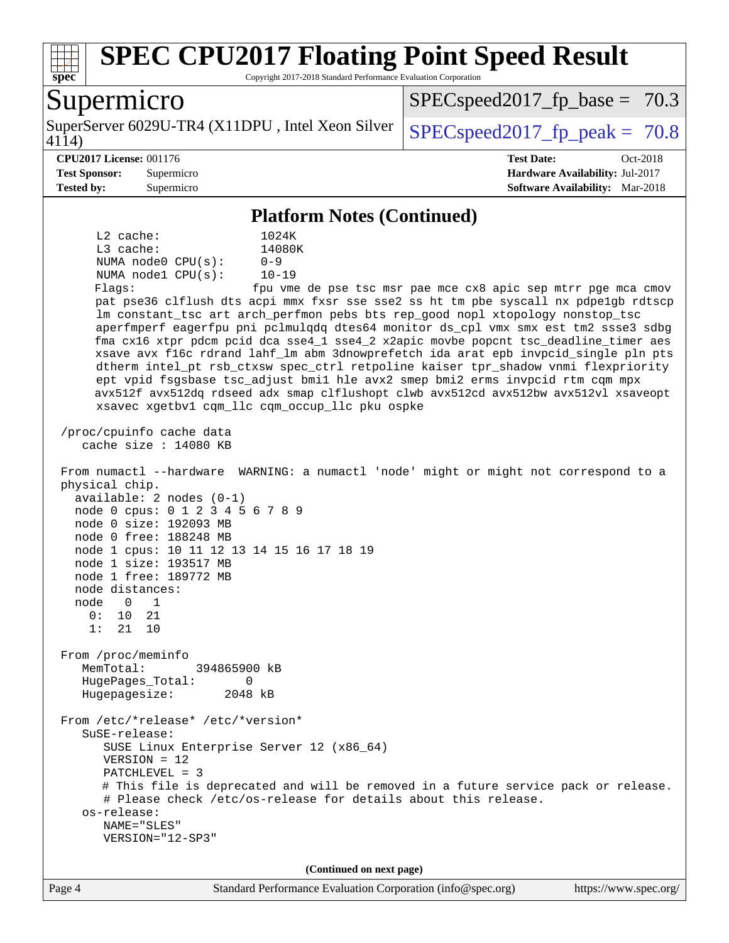

Copyright 2017-2018 Standard Performance Evaluation Corporation

## Supermicro

4114) SuperServer 6029U-TR4 (X11DPU, Intel Xeon Silver  $\big|$  SPECspeed2017 fp\_peak = 70.8

 $SPECspeed2017_fp\_base = 70.3$ 

#### **[CPU2017 License:](http://www.spec.org/auto/cpu2017/Docs/result-fields.html#CPU2017License)** 001176 **[Test Date:](http://www.spec.org/auto/cpu2017/Docs/result-fields.html#TestDate)** Oct-2018

**[Test Sponsor:](http://www.spec.org/auto/cpu2017/Docs/result-fields.html#TestSponsor)** Supermicro **[Hardware Availability:](http://www.spec.org/auto/cpu2017/Docs/result-fields.html#HardwareAvailability)** Jul-2017

**[Tested by:](http://www.spec.org/auto/cpu2017/Docs/result-fields.html#Testedby)** Supermicro **[Software Availability:](http://www.spec.org/auto/cpu2017/Docs/result-fields.html#SoftwareAvailability)** Mar-2018

#### **[Platform Notes \(Continued\)](http://www.spec.org/auto/cpu2017/Docs/result-fields.html#PlatformNotes)**

 L2 cache: 1024K L3 cache: 14080K NUMA node0 CPU(s): 0-9 NUMA node1 CPU(s): 10-19 Flags: fpu vme de pse tsc msr pae mce cx8 apic sep mtrr pge mca cmov pat pse36 clflush dts acpi mmx fxsr sse sse2 ss ht tm pbe syscall nx pdpe1gb rdtscp lm constant\_tsc art arch\_perfmon pebs bts rep\_good nopl xtopology nonstop\_tsc aperfmperf eagerfpu pni pclmulqdq dtes64 monitor ds\_cpl vmx smx est tm2 ssse3 sdbg fma cx16 xtpr pdcm pcid dca sse4\_1 sse4\_2 x2apic movbe popcnt tsc\_deadline\_timer aes xsave avx f16c rdrand lahf\_lm abm 3dnowprefetch ida arat epb invpcid\_single pln pts dtherm intel\_pt rsb\_ctxsw spec\_ctrl retpoline kaiser tpr\_shadow vnmi flexpriority ept vpid fsgsbase tsc\_adjust bmi1 hle avx2 smep bmi2 erms invpcid rtm cqm mpx avx512f avx512dq rdseed adx smap clflushopt clwb avx512cd avx512bw avx512vl xsaveopt xsavec xgetbv1 cqm\_llc cqm\_occup\_llc pku ospke /proc/cpuinfo cache data cache size : 14080 KB From numactl --hardware WARNING: a numactl 'node' might or might not correspond to a physical chip. available: 2 nodes (0-1) node 0 cpus: 0 1 2 3 4 5 6 7 8 9 node 0 size: 192093 MB node 0 free: 188248 MB node 1 cpus: 10 11 12 13 14 15 16 17 18 19 node 1 size: 193517 MB node 1 free: 189772 MB node distances: node 0 1 0: 10 21 1: 21 10 From /proc/meminfo MemTotal: 394865900 kB HugePages\_Total: 0 Hugepagesize: 2048 kB From /etc/\*release\* /etc/\*version\* SuSE-release: SUSE Linux Enterprise Server 12 (x86\_64) VERSION = 12 PATCHLEVEL = 3 # This file is deprecated and will be removed in a future service pack or release. # Please check /etc/os-release for details about this release. os-release: NAME="SLES" VERSION="12-SP3" **(Continued on next page)**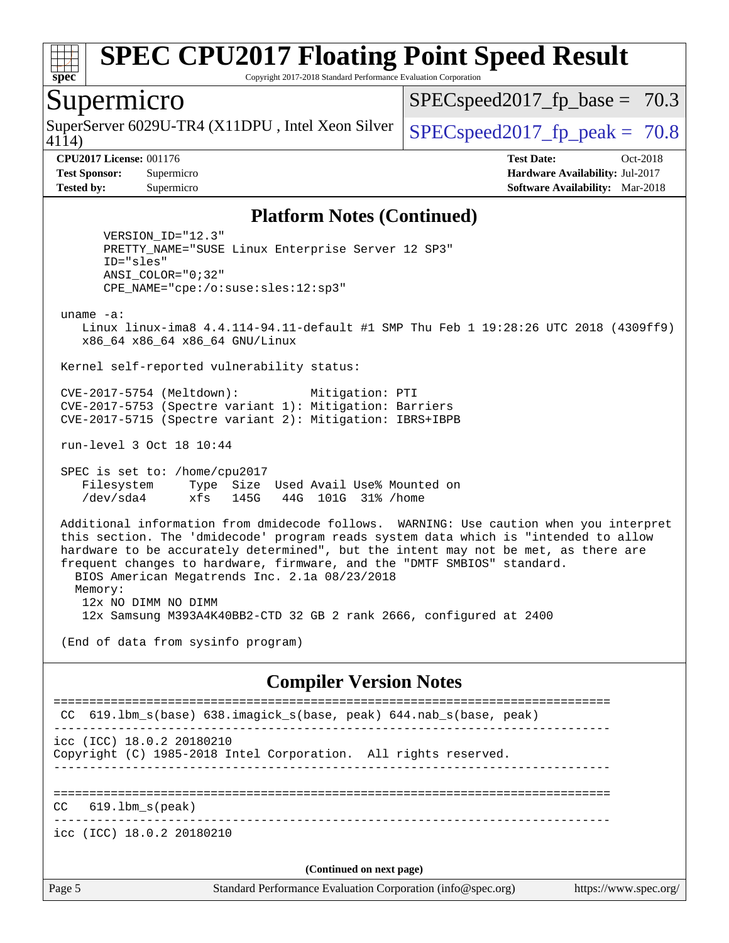

Copyright 2017-2018 Standard Performance Evaluation Corporation

### Supermicro

SuperServer 6029U-TR4 (X11DPU, Intel Xeon Silver  $\big|$  [SPECspeed2017\\_fp\\_peak =](http://www.spec.org/auto/cpu2017/Docs/result-fields.html#SPECspeed2017fppeak) 70.8

 $SPECspeed2017_fp\_base = 70.3$ 

4114)

**[CPU2017 License:](http://www.spec.org/auto/cpu2017/Docs/result-fields.html#CPU2017License)** 001176 **[Test Date:](http://www.spec.org/auto/cpu2017/Docs/result-fields.html#TestDate)** Oct-2018 **[Test Sponsor:](http://www.spec.org/auto/cpu2017/Docs/result-fields.html#TestSponsor)** Supermicro **[Hardware Availability:](http://www.spec.org/auto/cpu2017/Docs/result-fields.html#HardwareAvailability)** Jul-2017 **[Tested by:](http://www.spec.org/auto/cpu2017/Docs/result-fields.html#Testedby)** Supermicro **[Software Availability:](http://www.spec.org/auto/cpu2017/Docs/result-fields.html#SoftwareAvailability)** Mar-2018

#### **[Platform Notes \(Continued\)](http://www.spec.org/auto/cpu2017/Docs/result-fields.html#PlatformNotes)**

 VERSION\_ID="12.3" PRETTY\_NAME="SUSE Linux Enterprise Server 12 SP3" ID="sles" ANSI\_COLOR="0;32" CPE\_NAME="cpe:/o:suse:sles:12:sp3"

uname -a:

 Linux linux-ima8 4.4.114-94.11-default #1 SMP Thu Feb 1 19:28:26 UTC 2018 (4309ff9) x86\_64 x86\_64 x86\_64 GNU/Linux

Kernel self-reported vulnerability status:

 CVE-2017-5754 (Meltdown): Mitigation: PTI CVE-2017-5753 (Spectre variant 1): Mitigation: Barriers CVE-2017-5715 (Spectre variant 2): Mitigation: IBRS+IBPB

run-level 3 Oct 18 10:44

 SPEC is set to: /home/cpu2017 Filesystem Type Size Used Avail Use% Mounted on /dev/sda4 xfs 145G 44G 101G 31% /home

 Additional information from dmidecode follows. WARNING: Use caution when you interpret this section. The 'dmidecode' program reads system data which is "intended to allow hardware to be accurately determined", but the intent may not be met, as there are frequent changes to hardware, firmware, and the "DMTF SMBIOS" standard. BIOS American Megatrends Inc. 2.1a 08/23/2018 Memory: 12x NO DIMM NO DIMM

12x Samsung M393A4K40BB2-CTD 32 GB 2 rank 2666, configured at 2400

(End of data from sysinfo program)

#### **[Compiler Version Notes](http://www.spec.org/auto/cpu2017/Docs/result-fields.html#CompilerVersionNotes)**

Page 5 Standard Performance Evaluation Corporation [\(info@spec.org\)](mailto:info@spec.org) <https://www.spec.org/> ============================================================================== CC 619.1bm s(base) 638.imagick s(base, peak) 644.nab s(base, peak) ----------------------------------------------------------------------------- icc (ICC) 18.0.2 20180210 Copyright (C) 1985-2018 Intel Corporation. All rights reserved. ------------------------------------------------------------------------------ ============================================================================== CC 619.lbm\_s(peak) ----------------------------------------------------------------------------- icc (ICC) 18.0.2 20180210 **(Continued on next page)**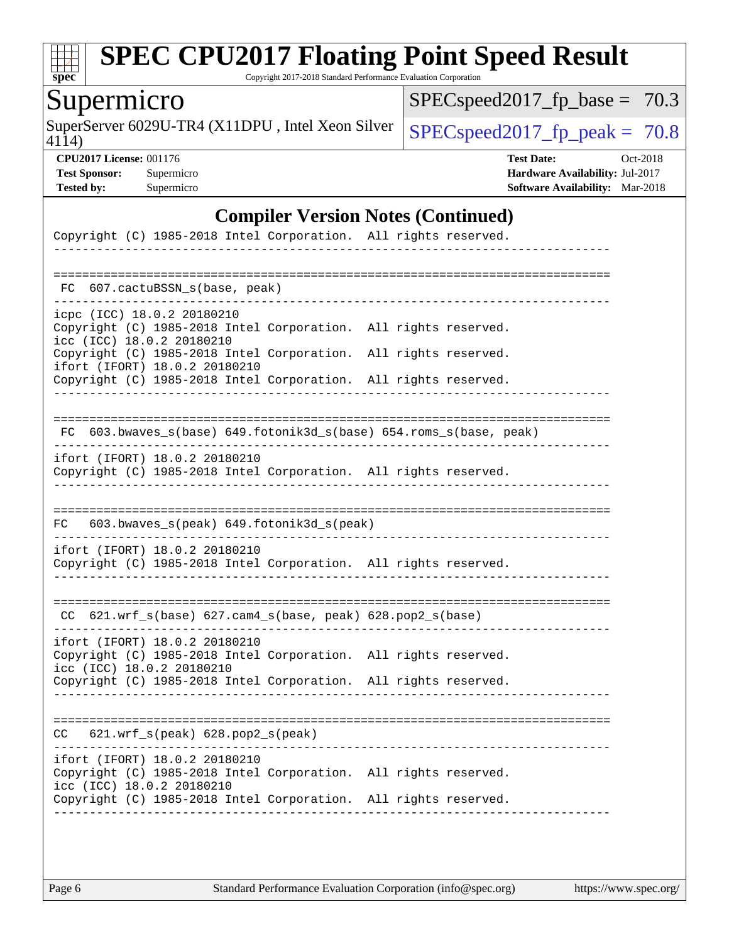

Copyright 2017-2018 Standard Performance Evaluation Corporation

# Supermicro

SuperServer 6029U-TR4 (X11DPU, Intel Xeon Silver  $\big|$  [SPECspeed2017\\_fp\\_peak =](http://www.spec.org/auto/cpu2017/Docs/result-fields.html#SPECspeed2017fppeak) 70.8

[SPECspeed2017\\_fp\\_base =](http://www.spec.org/auto/cpu2017/Docs/result-fields.html#SPECspeed2017fpbase) 70.3

4114)

**[CPU2017 License:](http://www.spec.org/auto/cpu2017/Docs/result-fields.html#CPU2017License)** 001176 **[Test Date:](http://www.spec.org/auto/cpu2017/Docs/result-fields.html#TestDate)** Oct-2018 **[Test Sponsor:](http://www.spec.org/auto/cpu2017/Docs/result-fields.html#TestSponsor)** Supermicro **[Hardware Availability:](http://www.spec.org/auto/cpu2017/Docs/result-fields.html#HardwareAvailability)** Jul-2017 **[Tested by:](http://www.spec.org/auto/cpu2017/Docs/result-fields.html#Testedby)** Supermicro **[Software Availability:](http://www.spec.org/auto/cpu2017/Docs/result-fields.html#SoftwareAvailability)** Mar-2018

#### **[Compiler Version Notes \(Continued\)](http://www.spec.org/auto/cpu2017/Docs/result-fields.html#CompilerVersionNotes)**

| Copyright (C) 1985-2018 Intel Corporation. All rights reserved.                                                               |                                              |  |
|-------------------------------------------------------------------------------------------------------------------------------|----------------------------------------------|--|
| FC 607.cactuBSSN_s(base, peak)                                                                                                |                                              |  |
| icpc (ICC) 18.0.2 20180210<br>Copyright (C) 1985-2018 Intel Corporation.<br>icc (ICC) 18.0.2 20180210                         | All rights reserved.                         |  |
| Copyright (C) 1985-2018 Intel Corporation.<br>ifort (IFORT) 18.0.2 20180210<br>Copyright (C) 1985-2018 Intel Corporation.     | All rights reserved.<br>All rights reserved. |  |
|                                                                                                                               |                                              |  |
| FC 603.bwaves_s(base) 649.fotonik3d_s(base) 654.roms_s(base, peak)                                                            |                                              |  |
| ifort (IFORT) 18.0.2 20180210<br>Copyright (C) 1985-2018 Intel Corporation. All rights reserved.                              |                                              |  |
|                                                                                                                               |                                              |  |
| 603.bwaves_s(peak) 649.fotonik3d_s(peak)<br>FC                                                                                |                                              |  |
| ifort (IFORT) 18.0.2 20180210<br>Copyright (C) 1985-2018 Intel Corporation. All rights reserved.                              |                                              |  |
| $CC$ 621.wrf_s(base) 627.cam4_s(base, peak) 628.pop2_s(base)                                                                  |                                              |  |
| ifort (IFORT) 18.0.2 20180210<br>Copyright (C) 1985-2018 Intel Corporation.<br>icc (ICC) 18.0.2 20180210                      | All rights reserved.                         |  |
| Copyright (C) 1985-2018 Intel Corporation.                                                                                    | All rights reserved.                         |  |
| 621.wrf_s(peak) 628.pop2_s(peak)<br>CC.                                                                                       |                                              |  |
| ifort (IFORT) 18.0.2 20180210<br>Copyright (C) 1985-2018 Intel Corporation. All rights reserved.<br>icc (ICC) 18.0.2 20180210 |                                              |  |
| Copyright (C) 1985-2018 Intel Corporation. All rights reserved.                                                               |                                              |  |
|                                                                                                                               |                                              |  |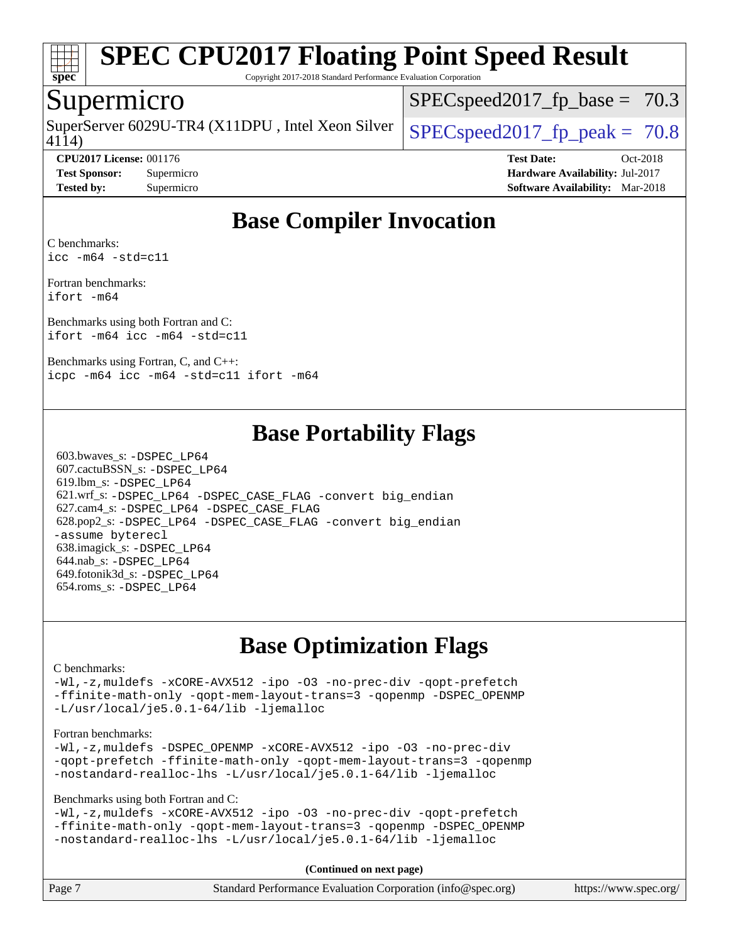

Copyright 2017-2018 Standard Performance Evaluation Corporation

### Supermicro

4114) SuperServer 6029U-TR4 (X11DPU, Intel Xeon Silver  $\big|$  SPECspeed2017 fp\_peak = 70.8

 $SPECspeed2017<sub>fp</sub> base = 70.3$ 

**[CPU2017 License:](http://www.spec.org/auto/cpu2017/Docs/result-fields.html#CPU2017License)** 001176 **[Test Date:](http://www.spec.org/auto/cpu2017/Docs/result-fields.html#TestDate)** Oct-2018 **[Test Sponsor:](http://www.spec.org/auto/cpu2017/Docs/result-fields.html#TestSponsor)** Supermicro **[Hardware Availability:](http://www.spec.org/auto/cpu2017/Docs/result-fields.html#HardwareAvailability)** Jul-2017 **[Tested by:](http://www.spec.org/auto/cpu2017/Docs/result-fields.html#Testedby)** Supermicro **[Software Availability:](http://www.spec.org/auto/cpu2017/Docs/result-fields.html#SoftwareAvailability)** Mar-2018

# **[Base Compiler Invocation](http://www.spec.org/auto/cpu2017/Docs/result-fields.html#BaseCompilerInvocation)**

[C benchmarks](http://www.spec.org/auto/cpu2017/Docs/result-fields.html#Cbenchmarks): [icc -m64 -std=c11](http://www.spec.org/cpu2017/results/res2018q4/cpu2017-20181029-09401.flags.html#user_CCbase_intel_icc_64bit_c11_33ee0cdaae7deeeab2a9725423ba97205ce30f63b9926c2519791662299b76a0318f32ddfffdc46587804de3178b4f9328c46fa7c2b0cd779d7a61945c91cd35)

[Fortran benchmarks](http://www.spec.org/auto/cpu2017/Docs/result-fields.html#Fortranbenchmarks): [ifort -m64](http://www.spec.org/cpu2017/results/res2018q4/cpu2017-20181029-09401.flags.html#user_FCbase_intel_ifort_64bit_24f2bb282fbaeffd6157abe4f878425411749daecae9a33200eee2bee2fe76f3b89351d69a8130dd5949958ce389cf37ff59a95e7a40d588e8d3a57e0c3fd751)

[Benchmarks using both Fortran and C](http://www.spec.org/auto/cpu2017/Docs/result-fields.html#BenchmarksusingbothFortranandC): [ifort -m64](http://www.spec.org/cpu2017/results/res2018q4/cpu2017-20181029-09401.flags.html#user_CC_FCbase_intel_ifort_64bit_24f2bb282fbaeffd6157abe4f878425411749daecae9a33200eee2bee2fe76f3b89351d69a8130dd5949958ce389cf37ff59a95e7a40d588e8d3a57e0c3fd751) [icc -m64 -std=c11](http://www.spec.org/cpu2017/results/res2018q4/cpu2017-20181029-09401.flags.html#user_CC_FCbase_intel_icc_64bit_c11_33ee0cdaae7deeeab2a9725423ba97205ce30f63b9926c2519791662299b76a0318f32ddfffdc46587804de3178b4f9328c46fa7c2b0cd779d7a61945c91cd35)

[Benchmarks using Fortran, C, and C++](http://www.spec.org/auto/cpu2017/Docs/result-fields.html#BenchmarksusingFortranCandCXX): [icpc -m64](http://www.spec.org/cpu2017/results/res2018q4/cpu2017-20181029-09401.flags.html#user_CC_CXX_FCbase_intel_icpc_64bit_4ecb2543ae3f1412ef961e0650ca070fec7b7afdcd6ed48761b84423119d1bf6bdf5cad15b44d48e7256388bc77273b966e5eb805aefd121eb22e9299b2ec9d9) [icc -m64 -std=c11](http://www.spec.org/cpu2017/results/res2018q4/cpu2017-20181029-09401.flags.html#user_CC_CXX_FCbase_intel_icc_64bit_c11_33ee0cdaae7deeeab2a9725423ba97205ce30f63b9926c2519791662299b76a0318f32ddfffdc46587804de3178b4f9328c46fa7c2b0cd779d7a61945c91cd35) [ifort -m64](http://www.spec.org/cpu2017/results/res2018q4/cpu2017-20181029-09401.flags.html#user_CC_CXX_FCbase_intel_ifort_64bit_24f2bb282fbaeffd6157abe4f878425411749daecae9a33200eee2bee2fe76f3b89351d69a8130dd5949958ce389cf37ff59a95e7a40d588e8d3a57e0c3fd751)

# **[Base Portability Flags](http://www.spec.org/auto/cpu2017/Docs/result-fields.html#BasePortabilityFlags)**

 603.bwaves\_s: [-DSPEC\\_LP64](http://www.spec.org/cpu2017/results/res2018q4/cpu2017-20181029-09401.flags.html#suite_basePORTABILITY603_bwaves_s_DSPEC_LP64) 607.cactuBSSN\_s: [-DSPEC\\_LP64](http://www.spec.org/cpu2017/results/res2018q4/cpu2017-20181029-09401.flags.html#suite_basePORTABILITY607_cactuBSSN_s_DSPEC_LP64) 619.lbm\_s: [-DSPEC\\_LP64](http://www.spec.org/cpu2017/results/res2018q4/cpu2017-20181029-09401.flags.html#suite_basePORTABILITY619_lbm_s_DSPEC_LP64) 621.wrf\_s: [-DSPEC\\_LP64](http://www.spec.org/cpu2017/results/res2018q4/cpu2017-20181029-09401.flags.html#suite_basePORTABILITY621_wrf_s_DSPEC_LP64) [-DSPEC\\_CASE\\_FLAG](http://www.spec.org/cpu2017/results/res2018q4/cpu2017-20181029-09401.flags.html#b621.wrf_s_baseCPORTABILITY_DSPEC_CASE_FLAG) [-convert big\\_endian](http://www.spec.org/cpu2017/results/res2018q4/cpu2017-20181029-09401.flags.html#user_baseFPORTABILITY621_wrf_s_convert_big_endian_c3194028bc08c63ac5d04de18c48ce6d347e4e562e8892b8bdbdc0214820426deb8554edfa529a3fb25a586e65a3d812c835984020483e7e73212c4d31a38223) 627.cam4\_s: [-DSPEC\\_LP64](http://www.spec.org/cpu2017/results/res2018q4/cpu2017-20181029-09401.flags.html#suite_basePORTABILITY627_cam4_s_DSPEC_LP64) [-DSPEC\\_CASE\\_FLAG](http://www.spec.org/cpu2017/results/res2018q4/cpu2017-20181029-09401.flags.html#b627.cam4_s_baseCPORTABILITY_DSPEC_CASE_FLAG) 628.pop2\_s: [-DSPEC\\_LP64](http://www.spec.org/cpu2017/results/res2018q4/cpu2017-20181029-09401.flags.html#suite_basePORTABILITY628_pop2_s_DSPEC_LP64) [-DSPEC\\_CASE\\_FLAG](http://www.spec.org/cpu2017/results/res2018q4/cpu2017-20181029-09401.flags.html#b628.pop2_s_baseCPORTABILITY_DSPEC_CASE_FLAG) [-convert big\\_endian](http://www.spec.org/cpu2017/results/res2018q4/cpu2017-20181029-09401.flags.html#user_baseFPORTABILITY628_pop2_s_convert_big_endian_c3194028bc08c63ac5d04de18c48ce6d347e4e562e8892b8bdbdc0214820426deb8554edfa529a3fb25a586e65a3d812c835984020483e7e73212c4d31a38223) [-assume byterecl](http://www.spec.org/cpu2017/results/res2018q4/cpu2017-20181029-09401.flags.html#user_baseFPORTABILITY628_pop2_s_assume_byterecl_7e47d18b9513cf18525430bbf0f2177aa9bf368bc7a059c09b2c06a34b53bd3447c950d3f8d6c70e3faf3a05c8557d66a5798b567902e8849adc142926523472) 638.imagick\_s: [-DSPEC\\_LP64](http://www.spec.org/cpu2017/results/res2018q4/cpu2017-20181029-09401.flags.html#suite_basePORTABILITY638_imagick_s_DSPEC_LP64) 644.nab\_s: [-DSPEC\\_LP64](http://www.spec.org/cpu2017/results/res2018q4/cpu2017-20181029-09401.flags.html#suite_basePORTABILITY644_nab_s_DSPEC_LP64) 649.fotonik3d\_s: [-DSPEC\\_LP64](http://www.spec.org/cpu2017/results/res2018q4/cpu2017-20181029-09401.flags.html#suite_basePORTABILITY649_fotonik3d_s_DSPEC_LP64) 654.roms\_s: [-DSPEC\\_LP64](http://www.spec.org/cpu2017/results/res2018q4/cpu2017-20181029-09401.flags.html#suite_basePORTABILITY654_roms_s_DSPEC_LP64)

# **[Base Optimization Flags](http://www.spec.org/auto/cpu2017/Docs/result-fields.html#BaseOptimizationFlags)**

#### [C benchmarks](http://www.spec.org/auto/cpu2017/Docs/result-fields.html#Cbenchmarks):

[-Wl,-z,muldefs](http://www.spec.org/cpu2017/results/res2018q4/cpu2017-20181029-09401.flags.html#user_CCbase_link_force_multiple1_b4cbdb97b34bdee9ceefcfe54f4c8ea74255f0b02a4b23e853cdb0e18eb4525ac79b5a88067c842dd0ee6996c24547a27a4b99331201badda8798ef8a743f577) [-xCORE-AVX512](http://www.spec.org/cpu2017/results/res2018q4/cpu2017-20181029-09401.flags.html#user_CCbase_f-xCORE-AVX512) [-ipo](http://www.spec.org/cpu2017/results/res2018q4/cpu2017-20181029-09401.flags.html#user_CCbase_f-ipo) [-O3](http://www.spec.org/cpu2017/results/res2018q4/cpu2017-20181029-09401.flags.html#user_CCbase_f-O3) [-no-prec-div](http://www.spec.org/cpu2017/results/res2018q4/cpu2017-20181029-09401.flags.html#user_CCbase_f-no-prec-div) [-qopt-prefetch](http://www.spec.org/cpu2017/results/res2018q4/cpu2017-20181029-09401.flags.html#user_CCbase_f-qopt-prefetch) [-ffinite-math-only](http://www.spec.org/cpu2017/results/res2018q4/cpu2017-20181029-09401.flags.html#user_CCbase_f_finite_math_only_cb91587bd2077682c4b38af759c288ed7c732db004271a9512da14a4f8007909a5f1427ecbf1a0fb78ff2a814402c6114ac565ca162485bbcae155b5e4258871) [-qopt-mem-layout-trans=3](http://www.spec.org/cpu2017/results/res2018q4/cpu2017-20181029-09401.flags.html#user_CCbase_f-qopt-mem-layout-trans_de80db37974c74b1f0e20d883f0b675c88c3b01e9d123adea9b28688d64333345fb62bc4a798493513fdb68f60282f9a726aa07f478b2f7113531aecce732043) [-qopenmp](http://www.spec.org/cpu2017/results/res2018q4/cpu2017-20181029-09401.flags.html#user_CCbase_qopenmp_16be0c44f24f464004c6784a7acb94aca937f053568ce72f94b139a11c7c168634a55f6653758ddd83bcf7b8463e8028bb0b48b77bcddc6b78d5d95bb1df2967) [-DSPEC\\_OPENMP](http://www.spec.org/cpu2017/results/res2018q4/cpu2017-20181029-09401.flags.html#suite_CCbase_DSPEC_OPENMP) [-L/usr/local/je5.0.1-64/lib](http://www.spec.org/cpu2017/results/res2018q4/cpu2017-20181029-09401.flags.html#user_CCbase_jemalloc_link_path64_4b10a636b7bce113509b17f3bd0d6226c5fb2346b9178c2d0232c14f04ab830f976640479e5c33dc2bcbbdad86ecfb6634cbbd4418746f06f368b512fced5394) [-ljemalloc](http://www.spec.org/cpu2017/results/res2018q4/cpu2017-20181029-09401.flags.html#user_CCbase_jemalloc_link_lib_d1249b907c500fa1c0672f44f562e3d0f79738ae9e3c4a9c376d49f265a04b9c99b167ecedbf6711b3085be911c67ff61f150a17b3472be731631ba4d0471706)

#### [Fortran benchmarks](http://www.spec.org/auto/cpu2017/Docs/result-fields.html#Fortranbenchmarks):

[-Wl,-z,muldefs](http://www.spec.org/cpu2017/results/res2018q4/cpu2017-20181029-09401.flags.html#user_FCbase_link_force_multiple1_b4cbdb97b34bdee9ceefcfe54f4c8ea74255f0b02a4b23e853cdb0e18eb4525ac79b5a88067c842dd0ee6996c24547a27a4b99331201badda8798ef8a743f577) [-DSPEC\\_OPENMP](http://www.spec.org/cpu2017/results/res2018q4/cpu2017-20181029-09401.flags.html#suite_FCbase_DSPEC_OPENMP) [-xCORE-AVX512](http://www.spec.org/cpu2017/results/res2018q4/cpu2017-20181029-09401.flags.html#user_FCbase_f-xCORE-AVX512) [-ipo](http://www.spec.org/cpu2017/results/res2018q4/cpu2017-20181029-09401.flags.html#user_FCbase_f-ipo) [-O3](http://www.spec.org/cpu2017/results/res2018q4/cpu2017-20181029-09401.flags.html#user_FCbase_f-O3) [-no-prec-div](http://www.spec.org/cpu2017/results/res2018q4/cpu2017-20181029-09401.flags.html#user_FCbase_f-no-prec-div) [-qopt-prefetch](http://www.spec.org/cpu2017/results/res2018q4/cpu2017-20181029-09401.flags.html#user_FCbase_f-qopt-prefetch) [-ffinite-math-only](http://www.spec.org/cpu2017/results/res2018q4/cpu2017-20181029-09401.flags.html#user_FCbase_f_finite_math_only_cb91587bd2077682c4b38af759c288ed7c732db004271a9512da14a4f8007909a5f1427ecbf1a0fb78ff2a814402c6114ac565ca162485bbcae155b5e4258871) [-qopt-mem-layout-trans=3](http://www.spec.org/cpu2017/results/res2018q4/cpu2017-20181029-09401.flags.html#user_FCbase_f-qopt-mem-layout-trans_de80db37974c74b1f0e20d883f0b675c88c3b01e9d123adea9b28688d64333345fb62bc4a798493513fdb68f60282f9a726aa07f478b2f7113531aecce732043) [-qopenmp](http://www.spec.org/cpu2017/results/res2018q4/cpu2017-20181029-09401.flags.html#user_FCbase_qopenmp_16be0c44f24f464004c6784a7acb94aca937f053568ce72f94b139a11c7c168634a55f6653758ddd83bcf7b8463e8028bb0b48b77bcddc6b78d5d95bb1df2967) [-nostandard-realloc-lhs](http://www.spec.org/cpu2017/results/res2018q4/cpu2017-20181029-09401.flags.html#user_FCbase_f_2003_std_realloc_82b4557e90729c0f113870c07e44d33d6f5a304b4f63d4c15d2d0f1fab99f5daaed73bdb9275d9ae411527f28b936061aa8b9c8f2d63842963b95c9dd6426b8a) [-L/usr/local/je5.0.1-64/lib](http://www.spec.org/cpu2017/results/res2018q4/cpu2017-20181029-09401.flags.html#user_FCbase_jemalloc_link_path64_4b10a636b7bce113509b17f3bd0d6226c5fb2346b9178c2d0232c14f04ab830f976640479e5c33dc2bcbbdad86ecfb6634cbbd4418746f06f368b512fced5394) [-ljemalloc](http://www.spec.org/cpu2017/results/res2018q4/cpu2017-20181029-09401.flags.html#user_FCbase_jemalloc_link_lib_d1249b907c500fa1c0672f44f562e3d0f79738ae9e3c4a9c376d49f265a04b9c99b167ecedbf6711b3085be911c67ff61f150a17b3472be731631ba4d0471706)

[Benchmarks using both Fortran and C](http://www.spec.org/auto/cpu2017/Docs/result-fields.html#BenchmarksusingbothFortranandC):

[-Wl,-z,muldefs](http://www.spec.org/cpu2017/results/res2018q4/cpu2017-20181029-09401.flags.html#user_CC_FCbase_link_force_multiple1_b4cbdb97b34bdee9ceefcfe54f4c8ea74255f0b02a4b23e853cdb0e18eb4525ac79b5a88067c842dd0ee6996c24547a27a4b99331201badda8798ef8a743f577) [-xCORE-AVX512](http://www.spec.org/cpu2017/results/res2018q4/cpu2017-20181029-09401.flags.html#user_CC_FCbase_f-xCORE-AVX512) [-ipo](http://www.spec.org/cpu2017/results/res2018q4/cpu2017-20181029-09401.flags.html#user_CC_FCbase_f-ipo) [-O3](http://www.spec.org/cpu2017/results/res2018q4/cpu2017-20181029-09401.flags.html#user_CC_FCbase_f-O3) [-no-prec-div](http://www.spec.org/cpu2017/results/res2018q4/cpu2017-20181029-09401.flags.html#user_CC_FCbase_f-no-prec-div) [-qopt-prefetch](http://www.spec.org/cpu2017/results/res2018q4/cpu2017-20181029-09401.flags.html#user_CC_FCbase_f-qopt-prefetch) [-ffinite-math-only](http://www.spec.org/cpu2017/results/res2018q4/cpu2017-20181029-09401.flags.html#user_CC_FCbase_f_finite_math_only_cb91587bd2077682c4b38af759c288ed7c732db004271a9512da14a4f8007909a5f1427ecbf1a0fb78ff2a814402c6114ac565ca162485bbcae155b5e4258871) [-qopt-mem-layout-trans=3](http://www.spec.org/cpu2017/results/res2018q4/cpu2017-20181029-09401.flags.html#user_CC_FCbase_f-qopt-mem-layout-trans_de80db37974c74b1f0e20d883f0b675c88c3b01e9d123adea9b28688d64333345fb62bc4a798493513fdb68f60282f9a726aa07f478b2f7113531aecce732043) [-qopenmp](http://www.spec.org/cpu2017/results/res2018q4/cpu2017-20181029-09401.flags.html#user_CC_FCbase_qopenmp_16be0c44f24f464004c6784a7acb94aca937f053568ce72f94b139a11c7c168634a55f6653758ddd83bcf7b8463e8028bb0b48b77bcddc6b78d5d95bb1df2967) [-DSPEC\\_OPENMP](http://www.spec.org/cpu2017/results/res2018q4/cpu2017-20181029-09401.flags.html#suite_CC_FCbase_DSPEC_OPENMP) [-nostandard-realloc-lhs](http://www.spec.org/cpu2017/results/res2018q4/cpu2017-20181029-09401.flags.html#user_CC_FCbase_f_2003_std_realloc_82b4557e90729c0f113870c07e44d33d6f5a304b4f63d4c15d2d0f1fab99f5daaed73bdb9275d9ae411527f28b936061aa8b9c8f2d63842963b95c9dd6426b8a) [-L/usr/local/je5.0.1-64/lib](http://www.spec.org/cpu2017/results/res2018q4/cpu2017-20181029-09401.flags.html#user_CC_FCbase_jemalloc_link_path64_4b10a636b7bce113509b17f3bd0d6226c5fb2346b9178c2d0232c14f04ab830f976640479e5c33dc2bcbbdad86ecfb6634cbbd4418746f06f368b512fced5394) [-ljemalloc](http://www.spec.org/cpu2017/results/res2018q4/cpu2017-20181029-09401.flags.html#user_CC_FCbase_jemalloc_link_lib_d1249b907c500fa1c0672f44f562e3d0f79738ae9e3c4a9c376d49f265a04b9c99b167ecedbf6711b3085be911c67ff61f150a17b3472be731631ba4d0471706)

**(Continued on next page)**

| Page 7 | Standard Performance Evaluation Corporation (info@spec.org) | https://www.spec.org/ |
|--------|-------------------------------------------------------------|-----------------------|
|        |                                                             |                       |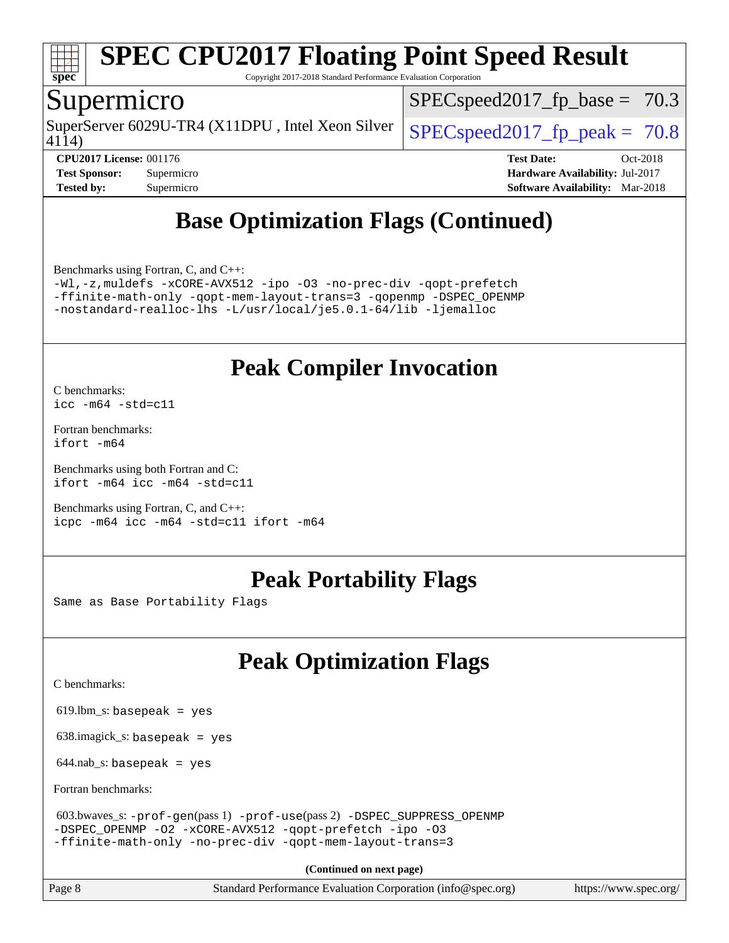

Copyright 2017-2018 Standard Performance Evaluation Corporation

### Supermicro

4114) SuperServer 6029U-TR4 (X11DPU, Intel Xeon Silver  $\big|$  SPECspeed2017 fp\_peak = 70.8

 $SPECspeed2017<sub>fp</sub> base = 70.3$ 

**[CPU2017 License:](http://www.spec.org/auto/cpu2017/Docs/result-fields.html#CPU2017License)** 001176 **[Test Date:](http://www.spec.org/auto/cpu2017/Docs/result-fields.html#TestDate)** Oct-2018 **[Test Sponsor:](http://www.spec.org/auto/cpu2017/Docs/result-fields.html#TestSponsor)** Supermicro **[Hardware Availability:](http://www.spec.org/auto/cpu2017/Docs/result-fields.html#HardwareAvailability)** Jul-2017 **[Tested by:](http://www.spec.org/auto/cpu2017/Docs/result-fields.html#Testedby)** Supermicro **[Software Availability:](http://www.spec.org/auto/cpu2017/Docs/result-fields.html#SoftwareAvailability)** Mar-2018

# **[Base Optimization Flags \(Continued\)](http://www.spec.org/auto/cpu2017/Docs/result-fields.html#BaseOptimizationFlags)**

[Benchmarks using Fortran, C, and C++:](http://www.spec.org/auto/cpu2017/Docs/result-fields.html#BenchmarksusingFortranCandCXX)

[-Wl,-z,muldefs](http://www.spec.org/cpu2017/results/res2018q4/cpu2017-20181029-09401.flags.html#user_CC_CXX_FCbase_link_force_multiple1_b4cbdb97b34bdee9ceefcfe54f4c8ea74255f0b02a4b23e853cdb0e18eb4525ac79b5a88067c842dd0ee6996c24547a27a4b99331201badda8798ef8a743f577) [-xCORE-AVX512](http://www.spec.org/cpu2017/results/res2018q4/cpu2017-20181029-09401.flags.html#user_CC_CXX_FCbase_f-xCORE-AVX512) [-ipo](http://www.spec.org/cpu2017/results/res2018q4/cpu2017-20181029-09401.flags.html#user_CC_CXX_FCbase_f-ipo) [-O3](http://www.spec.org/cpu2017/results/res2018q4/cpu2017-20181029-09401.flags.html#user_CC_CXX_FCbase_f-O3) [-no-prec-div](http://www.spec.org/cpu2017/results/res2018q4/cpu2017-20181029-09401.flags.html#user_CC_CXX_FCbase_f-no-prec-div) [-qopt-prefetch](http://www.spec.org/cpu2017/results/res2018q4/cpu2017-20181029-09401.flags.html#user_CC_CXX_FCbase_f-qopt-prefetch) [-ffinite-math-only](http://www.spec.org/cpu2017/results/res2018q4/cpu2017-20181029-09401.flags.html#user_CC_CXX_FCbase_f_finite_math_only_cb91587bd2077682c4b38af759c288ed7c732db004271a9512da14a4f8007909a5f1427ecbf1a0fb78ff2a814402c6114ac565ca162485bbcae155b5e4258871) [-qopt-mem-layout-trans=3](http://www.spec.org/cpu2017/results/res2018q4/cpu2017-20181029-09401.flags.html#user_CC_CXX_FCbase_f-qopt-mem-layout-trans_de80db37974c74b1f0e20d883f0b675c88c3b01e9d123adea9b28688d64333345fb62bc4a798493513fdb68f60282f9a726aa07f478b2f7113531aecce732043) [-qopenmp](http://www.spec.org/cpu2017/results/res2018q4/cpu2017-20181029-09401.flags.html#user_CC_CXX_FCbase_qopenmp_16be0c44f24f464004c6784a7acb94aca937f053568ce72f94b139a11c7c168634a55f6653758ddd83bcf7b8463e8028bb0b48b77bcddc6b78d5d95bb1df2967) [-DSPEC\\_OPENMP](http://www.spec.org/cpu2017/results/res2018q4/cpu2017-20181029-09401.flags.html#suite_CC_CXX_FCbase_DSPEC_OPENMP) [-nostandard-realloc-lhs](http://www.spec.org/cpu2017/results/res2018q4/cpu2017-20181029-09401.flags.html#user_CC_CXX_FCbase_f_2003_std_realloc_82b4557e90729c0f113870c07e44d33d6f5a304b4f63d4c15d2d0f1fab99f5daaed73bdb9275d9ae411527f28b936061aa8b9c8f2d63842963b95c9dd6426b8a) [-L/usr/local/je5.0.1-64/lib](http://www.spec.org/cpu2017/results/res2018q4/cpu2017-20181029-09401.flags.html#user_CC_CXX_FCbase_jemalloc_link_path64_4b10a636b7bce113509b17f3bd0d6226c5fb2346b9178c2d0232c14f04ab830f976640479e5c33dc2bcbbdad86ecfb6634cbbd4418746f06f368b512fced5394) [-ljemalloc](http://www.spec.org/cpu2017/results/res2018q4/cpu2017-20181029-09401.flags.html#user_CC_CXX_FCbase_jemalloc_link_lib_d1249b907c500fa1c0672f44f562e3d0f79738ae9e3c4a9c376d49f265a04b9c99b167ecedbf6711b3085be911c67ff61f150a17b3472be731631ba4d0471706)

# **[Peak Compiler Invocation](http://www.spec.org/auto/cpu2017/Docs/result-fields.html#PeakCompilerInvocation)**

[C benchmarks](http://www.spec.org/auto/cpu2017/Docs/result-fields.html#Cbenchmarks): [icc -m64 -std=c11](http://www.spec.org/cpu2017/results/res2018q4/cpu2017-20181029-09401.flags.html#user_CCpeak_intel_icc_64bit_c11_33ee0cdaae7deeeab2a9725423ba97205ce30f63b9926c2519791662299b76a0318f32ddfffdc46587804de3178b4f9328c46fa7c2b0cd779d7a61945c91cd35)

[Fortran benchmarks](http://www.spec.org/auto/cpu2017/Docs/result-fields.html#Fortranbenchmarks): [ifort -m64](http://www.spec.org/cpu2017/results/res2018q4/cpu2017-20181029-09401.flags.html#user_FCpeak_intel_ifort_64bit_24f2bb282fbaeffd6157abe4f878425411749daecae9a33200eee2bee2fe76f3b89351d69a8130dd5949958ce389cf37ff59a95e7a40d588e8d3a57e0c3fd751)

[Benchmarks using both Fortran and C](http://www.spec.org/auto/cpu2017/Docs/result-fields.html#BenchmarksusingbothFortranandC): [ifort -m64](http://www.spec.org/cpu2017/results/res2018q4/cpu2017-20181029-09401.flags.html#user_CC_FCpeak_intel_ifort_64bit_24f2bb282fbaeffd6157abe4f878425411749daecae9a33200eee2bee2fe76f3b89351d69a8130dd5949958ce389cf37ff59a95e7a40d588e8d3a57e0c3fd751) [icc -m64 -std=c11](http://www.spec.org/cpu2017/results/res2018q4/cpu2017-20181029-09401.flags.html#user_CC_FCpeak_intel_icc_64bit_c11_33ee0cdaae7deeeab2a9725423ba97205ce30f63b9926c2519791662299b76a0318f32ddfffdc46587804de3178b4f9328c46fa7c2b0cd779d7a61945c91cd35)

[Benchmarks using Fortran, C, and C++:](http://www.spec.org/auto/cpu2017/Docs/result-fields.html#BenchmarksusingFortranCandCXX) [icpc -m64](http://www.spec.org/cpu2017/results/res2018q4/cpu2017-20181029-09401.flags.html#user_CC_CXX_FCpeak_intel_icpc_64bit_4ecb2543ae3f1412ef961e0650ca070fec7b7afdcd6ed48761b84423119d1bf6bdf5cad15b44d48e7256388bc77273b966e5eb805aefd121eb22e9299b2ec9d9) [icc -m64 -std=c11](http://www.spec.org/cpu2017/results/res2018q4/cpu2017-20181029-09401.flags.html#user_CC_CXX_FCpeak_intel_icc_64bit_c11_33ee0cdaae7deeeab2a9725423ba97205ce30f63b9926c2519791662299b76a0318f32ddfffdc46587804de3178b4f9328c46fa7c2b0cd779d7a61945c91cd35) [ifort -m64](http://www.spec.org/cpu2017/results/res2018q4/cpu2017-20181029-09401.flags.html#user_CC_CXX_FCpeak_intel_ifort_64bit_24f2bb282fbaeffd6157abe4f878425411749daecae9a33200eee2bee2fe76f3b89351d69a8130dd5949958ce389cf37ff59a95e7a40d588e8d3a57e0c3fd751)

# **[Peak Portability Flags](http://www.spec.org/auto/cpu2017/Docs/result-fields.html#PeakPortabilityFlags)**

Same as Base Portability Flags

# **[Peak Optimization Flags](http://www.spec.org/auto/cpu2017/Docs/result-fields.html#PeakOptimizationFlags)**

[C benchmarks](http://www.spec.org/auto/cpu2017/Docs/result-fields.html#Cbenchmarks):

619.lbm\_s: basepeak = yes

638.imagick\_s: basepeak = yes

 $644$ .nab\_s: basepeak = yes

[Fortran benchmarks](http://www.spec.org/auto/cpu2017/Docs/result-fields.html#Fortranbenchmarks):

```
 603.bwaves_s: -prof-gen(pass 1) -prof-use(pass 2) -DSPEC_SUPPRESS_OPENMP
-DSPEC_OPENMP -O2 -xCORE-AVX512 -qopt-prefetch -ipo -O3
-ffinite-math-only -no-prec-div -qopt-mem-layout-trans=3
```
**(Continued on next page)**

Page 8 Standard Performance Evaluation Corporation [\(info@spec.org\)](mailto:info@spec.org) <https://www.spec.org/>